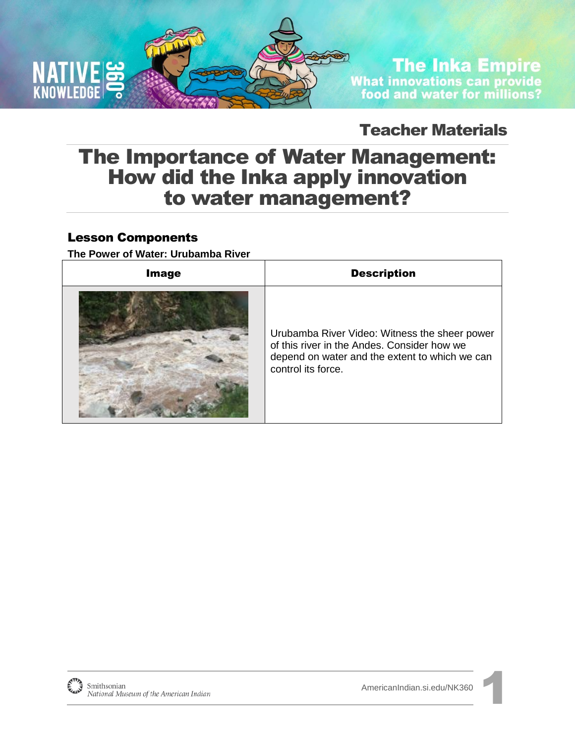

## **The Inka Empire** What innovations can provide<br>food and water for millions?

## Teacher Materials

## The Importance of Water Management: How did the Inka apply innovation to water management?

### Lesson Components

**The Power of Water: Urubamba River** 

| <b>Image</b> | <b>Description</b>                                                                                                                                                   |
|--------------|----------------------------------------------------------------------------------------------------------------------------------------------------------------------|
|              | Urubamba River Video: Witness the sheer power<br>of this river in the Andes. Consider how we<br>depend on water and the extent to which we can<br>control its force. |

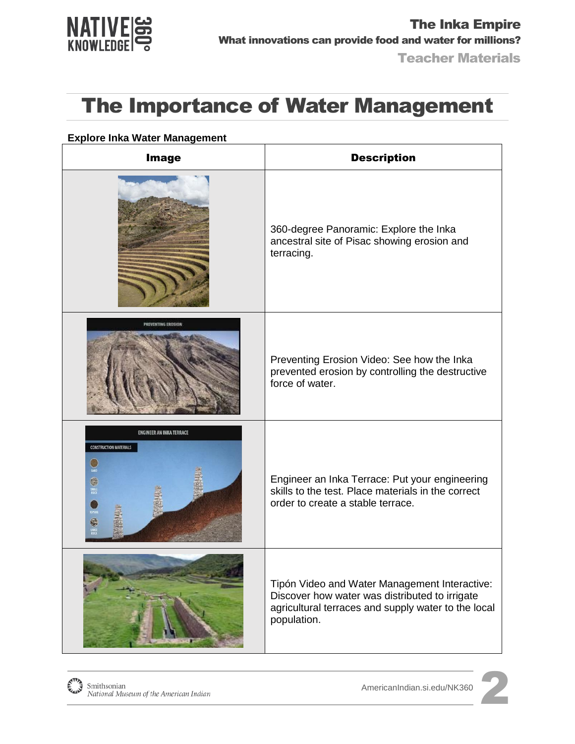

#### **Explore Inka Water Management**

| <b>Image</b>                                                                                 | <b>Description</b>                                                                                                                                                    |
|----------------------------------------------------------------------------------------------|-----------------------------------------------------------------------------------------------------------------------------------------------------------------------|
|                                                                                              | 360-degree Panoramic: Explore the Inka<br>ancestral site of Pisac showing erosion and<br>terracing.                                                                   |
|                                                                                              | Preventing Erosion Video: See how the Inka<br>prevented erosion by controlling the destructive<br>force of water.                                                     |
| <b>ENGINEER AN INKA TERRACE</b><br><b>CONSTRUCTION MATERIALS</b><br>G<br>SMALL<br>ROCK<br>ē. | Engineer an Inka Terrace: Put your engineering<br>skills to the test. Place materials in the correct<br>order to create a stable terrace.                             |
|                                                                                              | Tipón Video and Water Management Interactive:<br>Discover how water was distributed to irrigate<br>agricultural terraces and supply water to the local<br>population. |

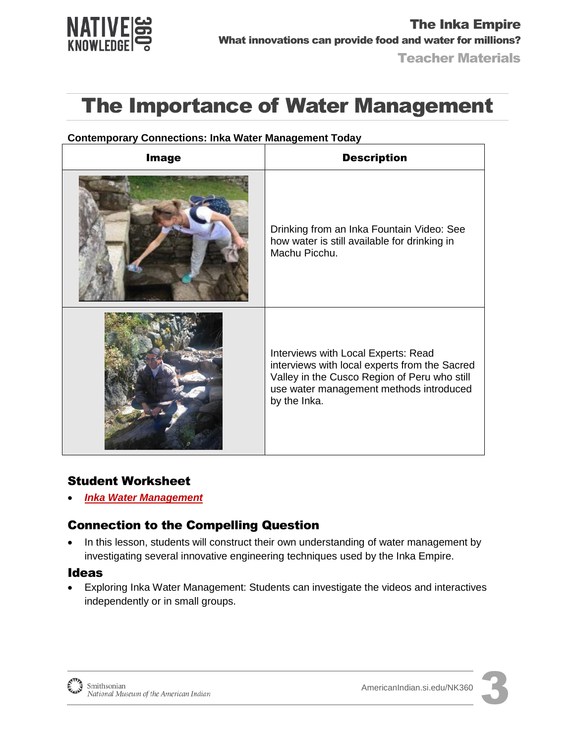

| <b>Image</b> | <b>Description</b>                                                                                                                                                                              |
|--------------|-------------------------------------------------------------------------------------------------------------------------------------------------------------------------------------------------|
|              | Drinking from an Inka Fountain Video: See<br>how water is still available for drinking in<br>Machu Picchu.                                                                                      |
|              | Interviews with Local Experts: Read<br>interviews with local experts from the Sacred<br>Valley in the Cusco Region of Peru who still<br>use water management methods introduced<br>by the Inka. |

#### **Contemporary Connections: Inka Water Management Today**

#### Student Worksheet

*[Inka Water Management](http://americanindian.si.edu/nk360/inka-water/pdf/Student-Instructions-SQ2-InkaRoad-WaterManagement-ENGLISH.pdf)*

### Connection to the Compelling Question

• In this lesson, students will construct their own understanding of water management by investigating several innovative engineering techniques used by the Inka Empire.

#### Ideas

 Exploring Inka Water Management: Students can investigate the videos and interactives independently or in small groups.



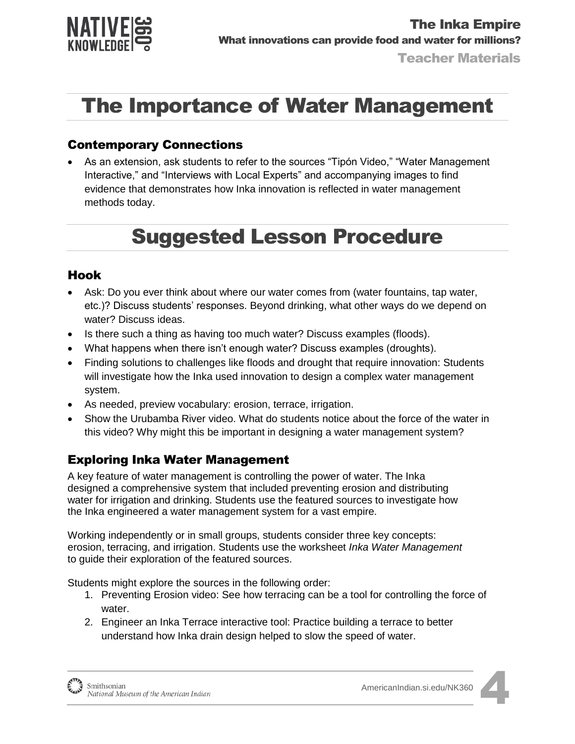

### Contemporary Connections

 As an extension, ask students to refer to the sources "Tipón Video," "Water Management Interactive," and "Interviews with Local Experts" and accompanying images to find evidence that demonstrates how Inka innovation is reflected in water management methods today.

## Suggested Lesson Procedure

### Hook

- Ask: Do you ever think about where our water comes from (water fountains, tap water, etc.)? Discuss students' responses. Beyond drinking, what other ways do we depend on water? Discuss ideas.
- Is there such a thing as having too much water? Discuss examples (floods).
- What happens when there isn't enough water? Discuss examples (droughts).
- Finding solutions to challenges like floods and drought that require innovation: Students will investigate how the Inka used innovation to design a complex water management system.
- As needed, preview vocabulary: erosion, terrace, irrigation.
- Show the Urubamba River video. What do students notice about the force of the water in this video? Why might this be important in designing a water management system?

### Exploring Inka Water Management

A key feature of water management is controlling the power of water. The Inka designed a comprehensive system that included preventing erosion and distributing water for irrigation and drinking. Students use the featured sources to investigate how the Inka engineered a water management system for a vast empire.

Working independently or in small groups, students consider three key concepts: erosion, terracing, and irrigation. Students use the worksheet *Inka Water Management* to guide their exploration of the featured sources.

Students might explore the sources in the following order:

- 1. Preventing Erosion video: See how terracing can be a tool for controlling the force of water.
- 2. Engineer an Inka Terrace interactive tool: Practice building a terrace to better understand how Inka drain design helped to slow the speed of water.